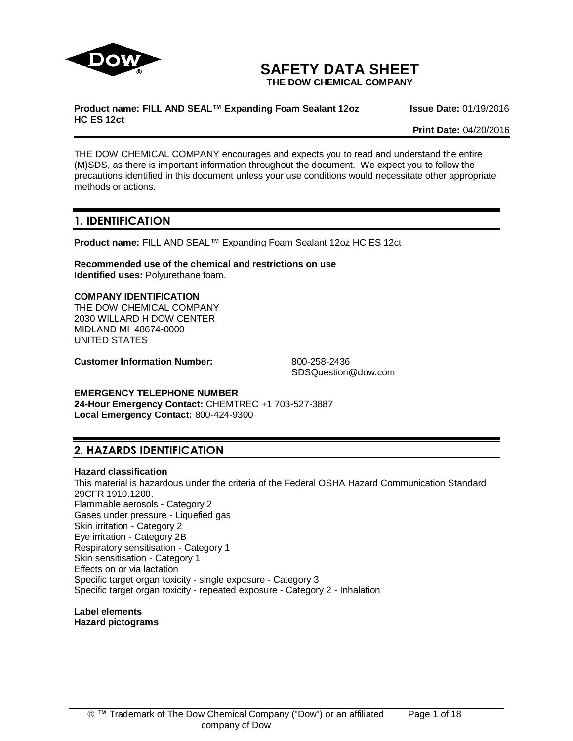

# **SAFETY DATA SHEET**

**THE DOW CHEMICAL COMPANY**

#### **Product name: FILL AND SEAL™ Expanding Foam Sealant 12oz HC ES 12ct**

**Issue Date:** 01/19/2016

**Print Date:** 04/20/2016

THE DOW CHEMICAL COMPANY encourages and expects you to read and understand the entire (M)SDS, as there is important information throughout the document. We expect you to follow the precautions identified in this document unless your use conditions would necessitate other appropriate methods or actions.

# **1. IDENTIFICATION**

**Product name:** FILL AND SEAL™ Expanding Foam Sealant 12oz HC ES 12ct

**Recommended use of the chemical and restrictions on use Identified uses:** Polyurethane foam.

### **COMPANY IDENTIFICATION**

THE DOW CHEMICAL COMPANY 2030 WILLARD H DOW CENTER MIDLAND MI 48674-0000 UNITED STATES

**Customer Information Number:** 800-258-2436

SDSQuestion@dow.com

# **EMERGENCY TELEPHONE NUMBER**

**24-Hour Emergency Contact:** CHEMTREC +1 703-527-3887 **Local Emergency Contact:** 800-424-9300

# **2. HAZARDS IDENTIFICATION**

#### **Hazard classification**

This material is hazardous under the criteria of the Federal OSHA Hazard Communication Standard 29CFR 1910.1200. Flammable aerosols - Category 2 Gases under pressure - Liquefied gas Skin irritation - Category 2 Eye irritation - Category 2B Respiratory sensitisation - Category 1 Skin sensitisation - Category 1 Effects on or via lactation Specific target organ toxicity - single exposure - Category 3 Specific target organ toxicity - repeated exposure - Category 2 - Inhalation

**Label elements Hazard pictograms**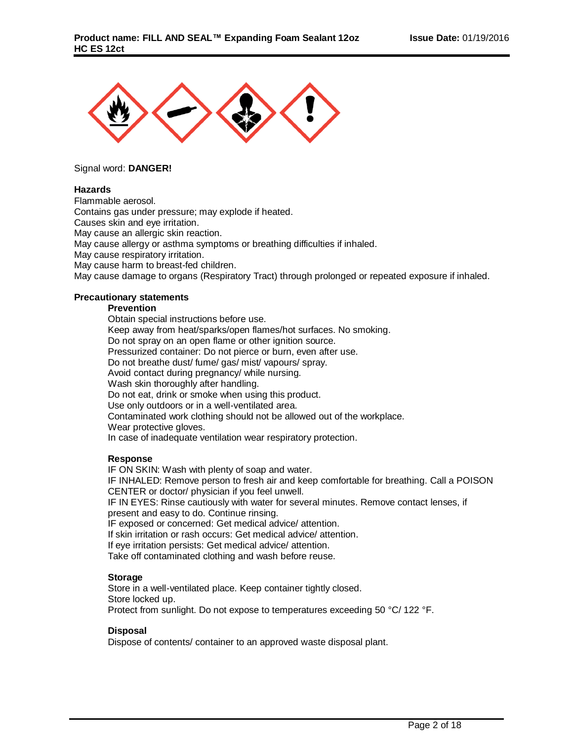

### Signal word: **DANGER!**

#### **Hazards**

Flammable aerosol. Contains gas under pressure; may explode if heated. Causes skin and eye irritation. May cause an allergic skin reaction. May cause allergy or asthma symptoms or breathing difficulties if inhaled. May cause respiratory irritation. May cause harm to breast-fed children. May cause damage to organs (Respiratory Tract) through prolonged or repeated exposure if inhaled.

### **Precautionary statements**

# **Prevention**

Obtain special instructions before use. Keep away from heat/sparks/open flames/hot surfaces. No smoking. Do not spray on an open flame or other ignition source. Pressurized container: Do not pierce or burn, even after use. Do not breathe dust/ fume/ gas/ mist/ vapours/ spray. Avoid contact during pregnancy/ while nursing. Wash skin thoroughly after handling. Do not eat, drink or smoke when using this product. Use only outdoors or in a well-ventilated area. Contaminated work clothing should not be allowed out of the workplace. Wear protective gloves. In case of inadequate ventilation wear respiratory protection.

#### **Response**

IF ON SKIN: Wash with plenty of soap and water. IF INHALED: Remove person to fresh air and keep comfortable for breathing. Call a POISON CENTER or doctor/ physician if you feel unwell. IF IN EYES: Rinse cautiously with water for several minutes. Remove contact lenses, if present and easy to do. Continue rinsing. IF exposed or concerned: Get medical advice/ attention. If skin irritation or rash occurs: Get medical advice/ attention. If eye irritation persists: Get medical advice/ attention. Take off contaminated clothing and wash before reuse.

# **Storage**

Store in a well-ventilated place. Keep container tightly closed. Store locked up. Protect from sunlight. Do not expose to temperatures exceeding 50 °C/ 122 °F.

#### **Disposal**

Dispose of contents/ container to an approved waste disposal plant.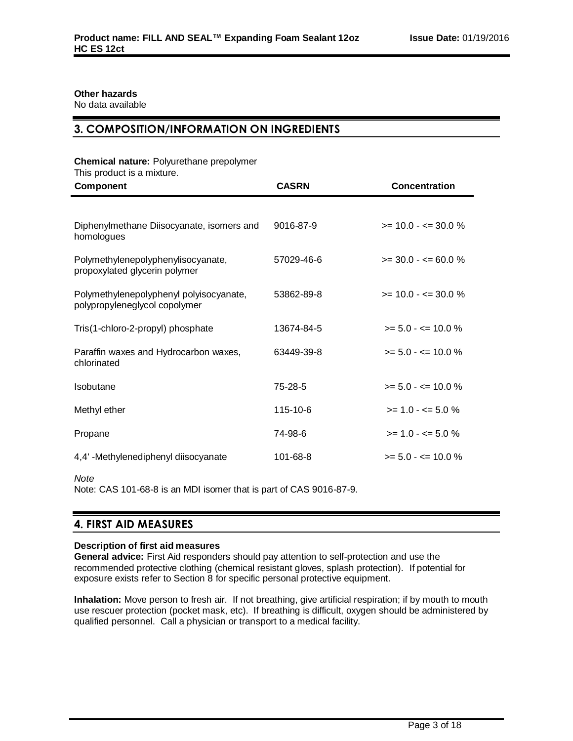# **Other hazards**

No data available

# **3. COMPOSITION/INFORMATION ON INGREDIENTS**

### **Chemical nature:** Polyurethane prepolymer

This product is a mixture.

| Component                                                                | <b>CASRN</b> | <b>Concentration</b>    |
|--------------------------------------------------------------------------|--------------|-------------------------|
|                                                                          |              |                         |
| Diphenylmethane Diisocyanate, isomers and<br>homologues                  | 9016-87-9    | $>= 10.0 - \le 30.0 \%$ |
| Polymethylenepolyphenylisocyanate,<br>propoxylated glycerin polymer      | 57029-46-6   | $>=$ 30.0 - $=$ 60.0 %  |
| Polymethylenepolyphenyl polyisocyanate,<br>polypropyleneglycol copolymer | 53862-89-8   | $>= 10.0 - \le 30.0 \%$ |
| Tris(1-chloro-2-propyl) phosphate                                        | 13674-84-5   | $>= 5.0 - \le 10.0 \%$  |
| Paraffin waxes and Hydrocarbon waxes,<br>chlorinated                     | 63449-39-8   | $>= 5.0 - \le 10.0 \%$  |
| Isobutane                                                                | 75-28-5      | $>= 5.0 - \le 10.0 \%$  |
| Methyl ether                                                             | 115-10-6     | $>= 1.0 - \le 5.0 \%$   |
| Propane                                                                  | 74-98-6      | $>= 1.0 - \le 5.0 \%$   |
| 4,4' -Methylenediphenyl diisocyanate                                     | 101-68-8     | $>= 5.0 - \le 10.0 \%$  |

*Note*

Note: CAS 101-68-8 is an MDI isomer that is part of CAS 9016-87-9.

# **4. FIRST AID MEASURES**

#### **Description of first aid measures**

**General advice:** First Aid responders should pay attention to self-protection and use the recommended protective clothing (chemical resistant gloves, splash protection). If potential for exposure exists refer to Section 8 for specific personal protective equipment.

**Inhalation:** Move person to fresh air. If not breathing, give artificial respiration; if by mouth to mouth use rescuer protection (pocket mask, etc). If breathing is difficult, oxygen should be administered by qualified personnel. Call a physician or transport to a medical facility.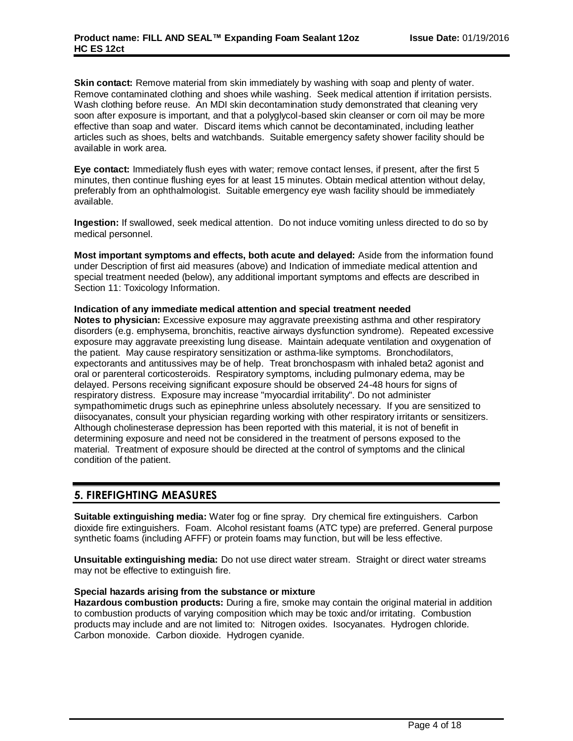**Skin contact:** Remove material from skin immediately by washing with soap and plenty of water. Remove contaminated clothing and shoes while washing. Seek medical attention if irritation persists. Wash clothing before reuse. An MDI skin decontamination study demonstrated that cleaning very soon after exposure is important, and that a polyglycol-based skin cleanser or corn oil may be more effective than soap and water. Discard items which cannot be decontaminated, including leather articles such as shoes, belts and watchbands. Suitable emergency safety shower facility should be available in work area.

**Eye contact:** Immediately flush eyes with water; remove contact lenses, if present, after the first 5 minutes, then continue flushing eyes for at least 15 minutes. Obtain medical attention without delay, preferably from an ophthalmologist. Suitable emergency eye wash facility should be immediately available.

**Ingestion:** If swallowed, seek medical attention. Do not induce vomiting unless directed to do so by medical personnel.

**Most important symptoms and effects, both acute and delayed:** Aside from the information found under Description of first aid measures (above) and Indication of immediate medical attention and special treatment needed (below), any additional important symptoms and effects are described in Section 11: Toxicology Information.

#### **Indication of any immediate medical attention and special treatment needed**

**Notes to physician:** Excessive exposure may aggravate preexisting asthma and other respiratory disorders (e.g. emphysema, bronchitis, reactive airways dysfunction syndrome). Repeated excessive exposure may aggravate preexisting lung disease. Maintain adequate ventilation and oxygenation of the patient. May cause respiratory sensitization or asthma-like symptoms. Bronchodilators, expectorants and antitussives may be of help. Treat bronchospasm with inhaled beta2 agonist and oral or parenteral corticosteroids. Respiratory symptoms, including pulmonary edema, may be delayed. Persons receiving significant exposure should be observed 24-48 hours for signs of respiratory distress. Exposure may increase "myocardial irritability". Do not administer sympathomimetic drugs such as epinephrine unless absolutely necessary. If you are sensitized to diisocyanates, consult your physician regarding working with other respiratory irritants or sensitizers. Although cholinesterase depression has been reported with this material, it is not of benefit in determining exposure and need not be considered in the treatment of persons exposed to the material. Treatment of exposure should be directed at the control of symptoms and the clinical condition of the patient.

# **5. FIREFIGHTING MEASURES**

**Suitable extinguishing media:** Water fog or fine spray. Dry chemical fire extinguishers. Carbon dioxide fire extinguishers. Foam. Alcohol resistant foams (ATC type) are preferred. General purpose synthetic foams (including AFFF) or protein foams may function, but will be less effective.

**Unsuitable extinguishing media:** Do not use direct water stream. Straight or direct water streams may not be effective to extinguish fire.

#### **Special hazards arising from the substance or mixture**

**Hazardous combustion products:** During a fire, smoke may contain the original material in addition to combustion products of varying composition which may be toxic and/or irritating. Combustion products may include and are not limited to: Nitrogen oxides. Isocyanates. Hydrogen chloride. Carbon monoxide. Carbon dioxide. Hydrogen cyanide.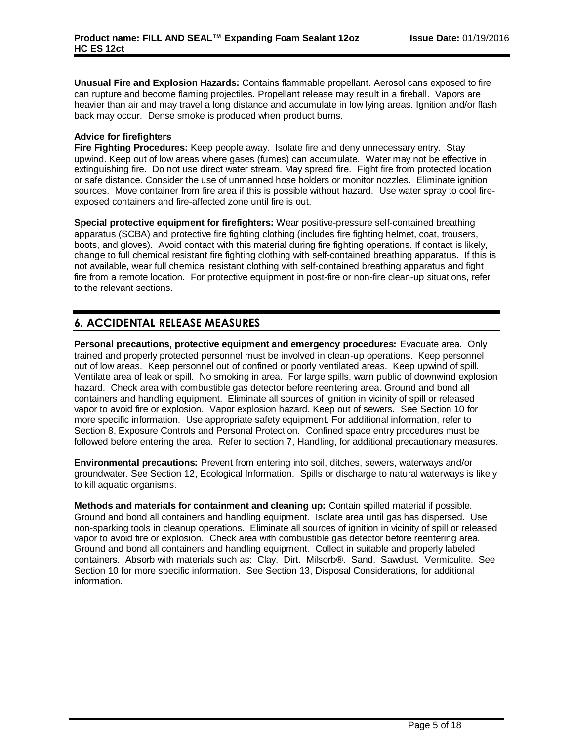**Unusual Fire and Explosion Hazards:** Contains flammable propellant. Aerosol cans exposed to fire can rupture and become flaming projectiles. Propellant release may result in a fireball. Vapors are heavier than air and may travel a long distance and accumulate in low lying areas. Ignition and/or flash back may occur. Dense smoke is produced when product burns.

# **Advice for firefighters**

**Fire Fighting Procedures:** Keep people away. Isolate fire and deny unnecessary entry. Stay upwind. Keep out of low areas where gases (fumes) can accumulate. Water may not be effective in extinguishing fire. Do not use direct water stream. May spread fire. Fight fire from protected location or safe distance. Consider the use of unmanned hose holders or monitor nozzles. Eliminate ignition sources. Move container from fire area if this is possible without hazard. Use water spray to cool fireexposed containers and fire-affected zone until fire is out.

**Special protective equipment for firefighters:** Wear positive-pressure self-contained breathing apparatus (SCBA) and protective fire fighting clothing (includes fire fighting helmet, coat, trousers, boots, and gloves). Avoid contact with this material during fire fighting operations. If contact is likely, change to full chemical resistant fire fighting clothing with self-contained breathing apparatus. If this is not available, wear full chemical resistant clothing with self-contained breathing apparatus and fight fire from a remote location. For protective equipment in post-fire or non-fire clean-up situations, refer to the relevant sections.

# **6. ACCIDENTAL RELEASE MEASURES**

**Personal precautions, protective equipment and emergency procedures:** Evacuate area. Only trained and properly protected personnel must be involved in clean-up operations. Keep personnel out of low areas. Keep personnel out of confined or poorly ventilated areas. Keep upwind of spill. Ventilate area of leak or spill. No smoking in area. For large spills, warn public of downwind explosion hazard. Check area with combustible gas detector before reentering area. Ground and bond all containers and handling equipment. Eliminate all sources of ignition in vicinity of spill or released vapor to avoid fire or explosion. Vapor explosion hazard. Keep out of sewers. See Section 10 for more specific information. Use appropriate safety equipment. For additional information, refer to Section 8, Exposure Controls and Personal Protection. Confined space entry procedures must be followed before entering the area. Refer to section 7, Handling, for additional precautionary measures.

**Environmental precautions:** Prevent from entering into soil, ditches, sewers, waterways and/or groundwater. See Section 12, Ecological Information. Spills or discharge to natural waterways is likely to kill aquatic organisms.

**Methods and materials for containment and cleaning up:** Contain spilled material if possible. Ground and bond all containers and handling equipment. Isolate area until gas has dispersed. Use non-sparking tools in cleanup operations. Eliminate all sources of ignition in vicinity of spill or released vapor to avoid fire or explosion. Check area with combustible gas detector before reentering area. Ground and bond all containers and handling equipment. Collect in suitable and properly labeled containers. Absorb with materials such as: Clay. Dirt. Milsorb®. Sand. Sawdust. Vermiculite. See Section 10 for more specific information. See Section 13, Disposal Considerations, for additional information.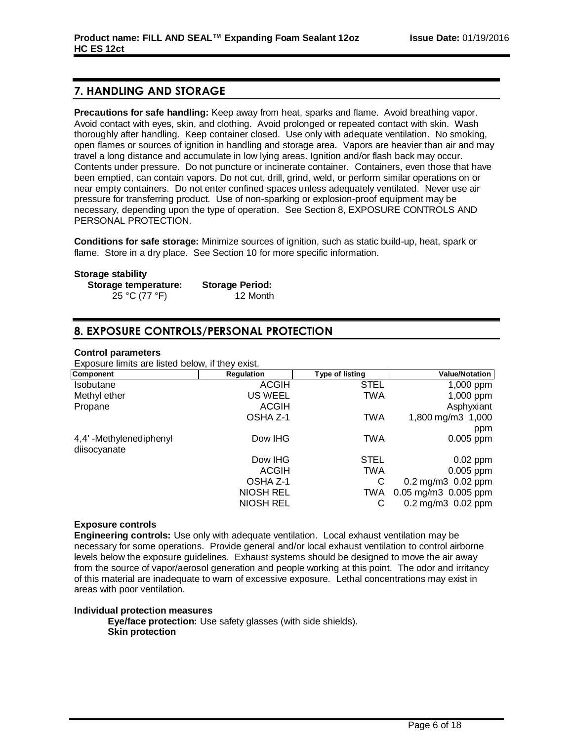# **7. HANDLING AND STORAGE**

**Precautions for safe handling:** Keep away from heat, sparks and flame. Avoid breathing vapor. Avoid contact with eyes, skin, and clothing. Avoid prolonged or repeated contact with skin. Wash thoroughly after handling. Keep container closed. Use only with adequate ventilation. No smoking, open flames or sources of ignition in handling and storage area. Vapors are heavier than air and may travel a long distance and accumulate in low lying areas. Ignition and/or flash back may occur. Contents under pressure. Do not puncture or incinerate container. Containers, even those that have been emptied, can contain vapors. Do not cut, drill, grind, weld, or perform similar operations on or near empty containers. Do not enter confined spaces unless adequately ventilated. Never use air pressure for transferring product. Use of non-sparking or explosion-proof equipment may be necessary, depending upon the type of operation. See Section 8, EXPOSURE CONTROLS AND PERSONAL PROTECTION.

**Conditions for safe storage:** Minimize sources of ignition, such as static build-up, heat, spark or flame. Store in a dry place. See Section 10 for more specific information.

#### **Storage stability**

| Storage temperature: | <b>Storage Period:</b> |
|----------------------|------------------------|
| 25 °C (77 °F)        | 12 Month               |

# **8. EXPOSURE CONTROLS/PERSONAL PROTECTION**

#### **Control parameters**

Exposure limits are listed below, if they exist.

| Component               | <b>Regulation</b> | Type of listing | <b>Value/Notation</b>           |
|-------------------------|-------------------|-----------------|---------------------------------|
| Isobutane               | <b>ACGIH</b>      | <b>STEL</b>     | 1,000 ppm                       |
| Methyl ether            | US WEEL           | TWA             | 1,000 ppm                       |
| Propane                 | <b>ACGIH</b>      |                 | Asphyxiant                      |
|                         | OSHA Z-1          | TWA             | 1,800 mg/m3 1,000               |
|                         |                   |                 | ppm                             |
| 4,4' -Methylenediphenyl | Dow IHG           | TWA             | $0.005$ ppm                     |
| diisocyanate            |                   |                 |                                 |
|                         | Dow IHG           | <b>STEL</b>     | $0.02$ ppm                      |
|                         | ACGIH             | TWA             | $0.005$ ppm                     |
|                         | OSHA Z-1          | С               | $0.2 \,\mathrm{mg/m}3$ 0.02 ppm |
|                         | NIOSH REL         | TWA             | 0.05 mg/m3 0.005 ppm            |
|                         | NIOSH REL         | С               | $0.2 \,\mathrm{mg/m}3$ 0.02 ppm |

#### **Exposure controls**

**Engineering controls:** Use only with adequate ventilation. Local exhaust ventilation may be necessary for some operations. Provide general and/or local exhaust ventilation to control airborne levels below the exposure guidelines. Exhaust systems should be designed to move the air away from the source of vapor/aerosol generation and people working at this point. The odor and irritancy of this material are inadequate to warn of excessive exposure. Lethal concentrations may exist in areas with poor ventilation.

#### **Individual protection measures**

**Eye/face protection:** Use safety glasses (with side shields). **Skin protection**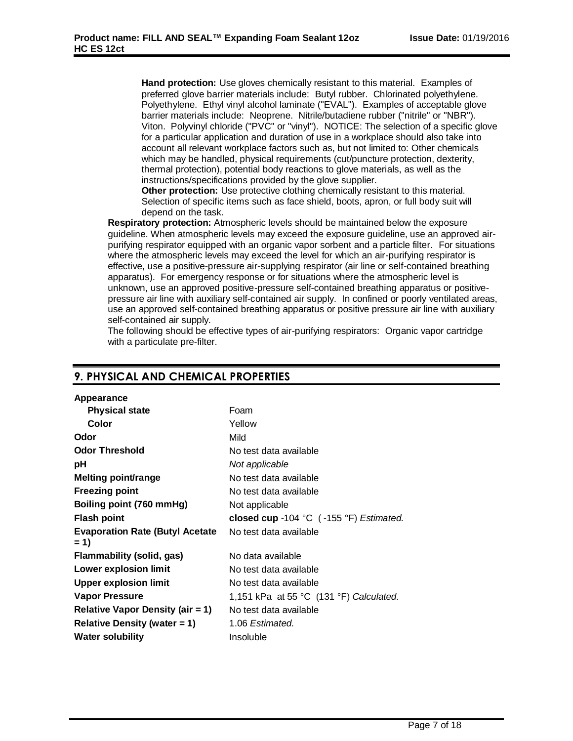**Hand protection:** Use gloves chemically resistant to this material. Examples of preferred glove barrier materials include: Butyl rubber. Chlorinated polyethylene. Polyethylene. Ethyl vinyl alcohol laminate ("EVAL"). Examples of acceptable glove barrier materials include: Neoprene. Nitrile/butadiene rubber ("nitrile" or "NBR"). Viton. Polyvinyl chloride ("PVC" or "vinyl"). NOTICE: The selection of a specific glove for a particular application and duration of use in a workplace should also take into account all relevant workplace factors such as, but not limited to: Other chemicals which may be handled, physical requirements (cut/puncture protection, dexterity, thermal protection), potential body reactions to glove materials, as well as the instructions/specifications provided by the glove supplier.

**Other protection:** Use protective clothing chemically resistant to this material. Selection of specific items such as face shield, boots, apron, or full body suit will depend on the task.

**Respiratory protection:** Atmospheric levels should be maintained below the exposure guideline. When atmospheric levels may exceed the exposure guideline, use an approved airpurifying respirator equipped with an organic vapor sorbent and a particle filter. For situations where the atmospheric levels may exceed the level for which an air-purifying respirator is effective, use a positive-pressure air-supplying respirator (air line or self-contained breathing apparatus). For emergency response or for situations where the atmospheric level is unknown, use an approved positive-pressure self-contained breathing apparatus or positivepressure air line with auxiliary self-contained air supply. In confined or poorly ventilated areas, use an approved self-contained breathing apparatus or positive pressure air line with auxiliary self-contained air supply.

The following should be effective types of air-purifying respirators: Organic vapor cartridge with a particulate pre-filter.

| Appearance                                      |                                                             |
|-------------------------------------------------|-------------------------------------------------------------|
| <b>Physical state</b>                           | Foam                                                        |
| Color                                           | Yellow                                                      |
| Odor                                            | Mild                                                        |
| <b>Odor Threshold</b>                           | No test data available                                      |
| рH                                              | Not applicable                                              |
| Melting point/range                             | No test data available                                      |
| <b>Freezing point</b>                           | No test data available                                      |
| Boiling point (760 mmHg)                        | Not applicable                                              |
| <b>Flash point</b>                              | closed cup -104 $^{\circ}$ C (-155 $^{\circ}$ F) Estimated. |
| <b>Evaporation Rate (Butyl Acetate</b><br>$= 1$ | No test data available                                      |
| Flammability (solid, gas)                       | No data available                                           |
| Lower explosion limit                           | No test data available                                      |
| <b>Upper explosion limit</b>                    | No test data available                                      |
| <b>Vapor Pressure</b>                           | 1,151 kPa at 55 °C $(131 \text{ °F})$ Calculated.           |
| <b>Relative Vapor Density (air = 1)</b>         | No test data available                                      |
| Relative Density (water $= 1$ )                 | 1.06 Estimated.                                             |
| <b>Water solubility</b>                         | Insoluble                                                   |
|                                                 |                                                             |

# **9. PHYSICAL AND CHEMICAL PROPERTIES**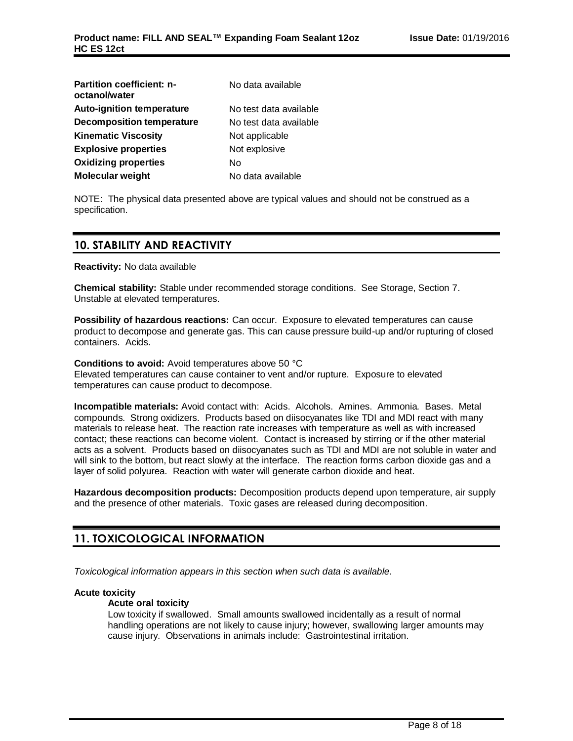| <b>Partition coefficient: n-</b><br>octanol/water | No data available      |
|---------------------------------------------------|------------------------|
| <b>Auto-ignition temperature</b>                  | No test data available |
| <b>Decomposition temperature</b>                  | No test data available |
| <b>Kinematic Viscosity</b>                        | Not applicable         |
| <b>Explosive properties</b>                       | Not explosive          |
| <b>Oxidizing properties</b>                       | N٥                     |
| <b>Molecular weight</b>                           | No data available      |

NOTE: The physical data presented above are typical values and should not be construed as a specification.

# **10. STABILITY AND REACTIVITY**

**Reactivity:** No data available

**Chemical stability:** Stable under recommended storage conditions. See Storage, Section 7. Unstable at elevated temperatures.

**Possibility of hazardous reactions:** Can occur. Exposure to elevated temperatures can cause product to decompose and generate gas. This can cause pressure build-up and/or rupturing of closed containers. Acids.

**Conditions to avoid:** Avoid temperatures above 50 °C Elevated temperatures can cause container to vent and/or rupture. Exposure to elevated temperatures can cause product to decompose.

**Incompatible materials:** Avoid contact with: Acids. Alcohols. Amines. Ammonia. Bases. Metal compounds. Strong oxidizers. Products based on diisocyanates like TDI and MDI react with many materials to release heat. The reaction rate increases with temperature as well as with increased contact; these reactions can become violent. Contact is increased by stirring or if the other material acts as a solvent. Products based on diisocyanates such as TDI and MDI are not soluble in water and will sink to the bottom, but react slowly at the interface. The reaction forms carbon dioxide gas and a layer of solid polyurea. Reaction with water will generate carbon dioxide and heat.

**Hazardous decomposition products:** Decomposition products depend upon temperature, air supply and the presence of other materials. Toxic gases are released during decomposition.

# **11. TOXICOLOGICAL INFORMATION**

*Toxicological information appears in this section when such data is available.*

#### **Acute toxicity**

#### **Acute oral toxicity**

Low toxicity if swallowed. Small amounts swallowed incidentally as a result of normal handling operations are not likely to cause injury; however, swallowing larger amounts may cause injury. Observations in animals include: Gastrointestinal irritation.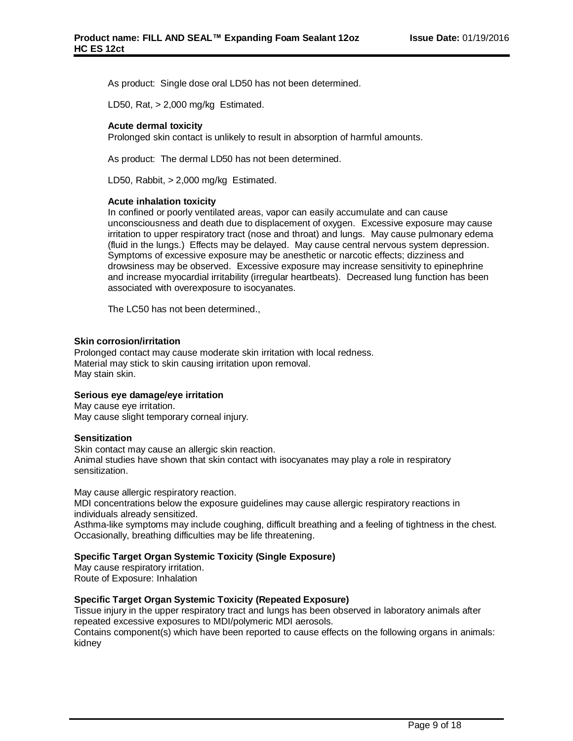As product: Single dose oral LD50 has not been determined.

LD50, Rat, > 2,000 mg/kg Estimated.

### **Acute dermal toxicity**

Prolonged skin contact is unlikely to result in absorption of harmful amounts.

As product: The dermal LD50 has not been determined.

LD50, Rabbit, > 2,000 mg/kg Estimated.

#### **Acute inhalation toxicity**

In confined or poorly ventilated areas, vapor can easily accumulate and can cause unconsciousness and death due to displacement of oxygen. Excessive exposure may cause irritation to upper respiratory tract (nose and throat) and lungs. May cause pulmonary edema (fluid in the lungs.) Effects may be delayed. May cause central nervous system depression. Symptoms of excessive exposure may be anesthetic or narcotic effects; dizziness and drowsiness may be observed. Excessive exposure may increase sensitivity to epinephrine and increase myocardial irritability (irregular heartbeats). Decreased lung function has been associated with overexposure to isocyanates.

The LC50 has not been determined.,

#### **Skin corrosion/irritation**

Prolonged contact may cause moderate skin irritation with local redness. Material may stick to skin causing irritation upon removal. May stain skin.

#### **Serious eye damage/eye irritation**

May cause eye irritation. May cause slight temporary corneal injury.

#### **Sensitization**

Skin contact may cause an allergic skin reaction. Animal studies have shown that skin contact with isocyanates may play a role in respiratory sensitization.

May cause allergic respiratory reaction.

MDI concentrations below the exposure guidelines may cause allergic respiratory reactions in individuals already sensitized.

Asthma-like symptoms may include coughing, difficult breathing and a feeling of tightness in the chest. Occasionally, breathing difficulties may be life threatening.

### **Specific Target Organ Systemic Toxicity (Single Exposure)**

May cause respiratory irritation. Route of Exposure: Inhalation

#### **Specific Target Organ Systemic Toxicity (Repeated Exposure)**

Tissue injury in the upper respiratory tract and lungs has been observed in laboratory animals after repeated excessive exposures to MDI/polymeric MDI aerosols.

Contains component(s) which have been reported to cause effects on the following organs in animals: kidney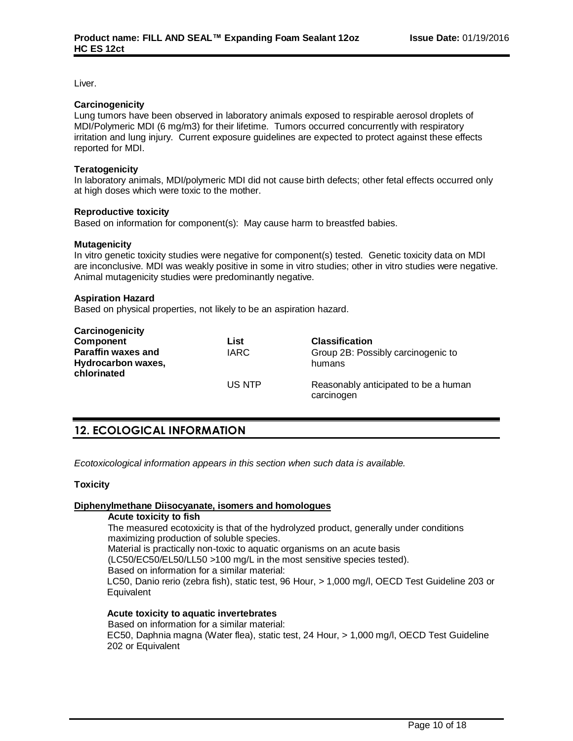Liver.

#### **Carcinogenicity**

Lung tumors have been observed in laboratory animals exposed to respirable aerosol droplets of MDI/Polymeric MDI (6 mg/m3) for their lifetime. Tumors occurred concurrently with respiratory irritation and lung injury. Current exposure guidelines are expected to protect against these effects reported for MDI.

#### **Teratogenicity**

In laboratory animals, MDI/polymeric MDI did not cause birth defects; other fetal effects occurred only at high doses which were toxic to the mother.

#### **Reproductive toxicity**

Based on information for component(s): May cause harm to breastfed babies.

#### **Mutagenicity**

In vitro genetic toxicity studies were negative for component(s) tested. Genetic toxicity data on MDI are inconclusive. MDI was weakly positive in some in vitro studies; other in vitro studies were negative. Animal mutagenicity studies were predominantly negative.

#### **Aspiration Hazard**

Based on physical properties, not likely to be an aspiration hazard.

| Carcinogenicity                   |             |                                                    |
|-----------------------------------|-------------|----------------------------------------------------|
| Component                         | List        | <b>Classification</b>                              |
| <b>Paraffin waxes and</b>         | <b>IARC</b> | Group 2B: Possibly carcinogenic to                 |
| Hydrocarbon waxes,<br>chlorinated |             | humans                                             |
|                                   | US NTP      | Reasonably anticipated to be a human<br>carcinogen |

# **12. ECOLOGICAL INFORMATION**

*Ecotoxicological information appears in this section when such data is available.*

#### **Toxicity**

### **Diphenylmethane Diisocyanate, isomers and homologues**

#### **Acute toxicity to fish**

The measured ecotoxicity is that of the hydrolyzed product, generally under conditions maximizing production of soluble species. Material is practically non-toxic to aquatic organisms on an acute basis (LC50/EC50/EL50/LL50 >100 mg/L in the most sensitive species tested). Based on information for a similar material: LC50, Danio rerio (zebra fish), static test, 96 Hour, > 1,000 mg/l, OECD Test Guideline 203 or **Equivalent** 

### **Acute toxicity to aquatic invertebrates**

Based on information for a similar material: EC50, Daphnia magna (Water flea), static test, 24 Hour, > 1,000 mg/l, OECD Test Guideline 202 or Equivalent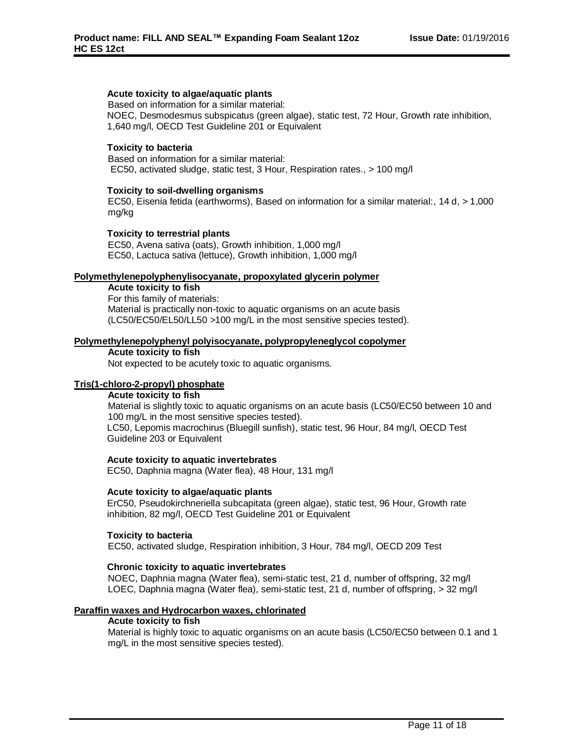### **Acute toxicity to algae/aquatic plants**

Based on information for a similar material: NOEC, Desmodesmus subspicatus (green algae), static test, 72 Hour, Growth rate inhibition, 1,640 mg/l, OECD Test Guideline 201 or Equivalent

#### **Toxicity to bacteria**

Based on information for a similar material: EC50, activated sludge, static test, 3 Hour, Respiration rates., > 100 mg/l

#### **Toxicity to soil-dwelling organisms**

EC50, Eisenia fetida (earthworms), Based on information for a similar material:, 14 d, > 1,000 mg/kg

### **Toxicity to terrestrial plants**

EC50, Avena sativa (oats), Growth inhibition, 1,000 mg/l EC50, Lactuca sativa (lettuce), Growth inhibition, 1,000 mg/l

#### **Polymethylenepolyphenylisocyanate, propoxylated glycerin polymer**

**Acute toxicity to fish**

For this family of materials: Material is practically non-toxic to aquatic organisms on an acute basis (LC50/EC50/EL50/LL50 >100 mg/L in the most sensitive species tested).

#### **Polymethylenepolyphenyl polyisocyanate, polypropyleneglycol copolymer**

#### **Acute toxicity to fish**

Not expected to be acutely toxic to aquatic organisms.

# **Tris(1-chloro-2-propyl) phosphate**

**Acute toxicity to fish**

Material is slightly toxic to aquatic organisms on an acute basis (LC50/EC50 between 10 and 100 mg/L in the most sensitive species tested).

LC50, Lepomis macrochirus (Bluegill sunfish), static test, 96 Hour, 84 mg/l, OECD Test Guideline 203 or Equivalent

#### **Acute toxicity to aquatic invertebrates**

EC50, Daphnia magna (Water flea), 48 Hour, 131 mg/l

#### **Acute toxicity to algae/aquatic plants**

ErC50, Pseudokirchneriella subcapitata (green algae), static test, 96 Hour, Growth rate inhibition, 82 mg/l, OECD Test Guideline 201 or Equivalent

#### **Toxicity to bacteria**

EC50, activated sludge, Respiration inhibition, 3 Hour, 784 mg/l, OECD 209 Test

#### **Chronic toxicity to aquatic invertebrates**

NOEC, Daphnia magna (Water flea), semi-static test, 21 d, number of offspring, 32 mg/l LOEC, Daphnia magna (Water flea), semi-static test, 21 d, number of offspring, > 32 mg/l

#### **Paraffin waxes and Hydrocarbon waxes, chlorinated**

#### **Acute toxicity to fish**

Material is highly toxic to aquatic organisms on an acute basis (LC50/EC50 between 0.1 and 1 mg/L in the most sensitive species tested).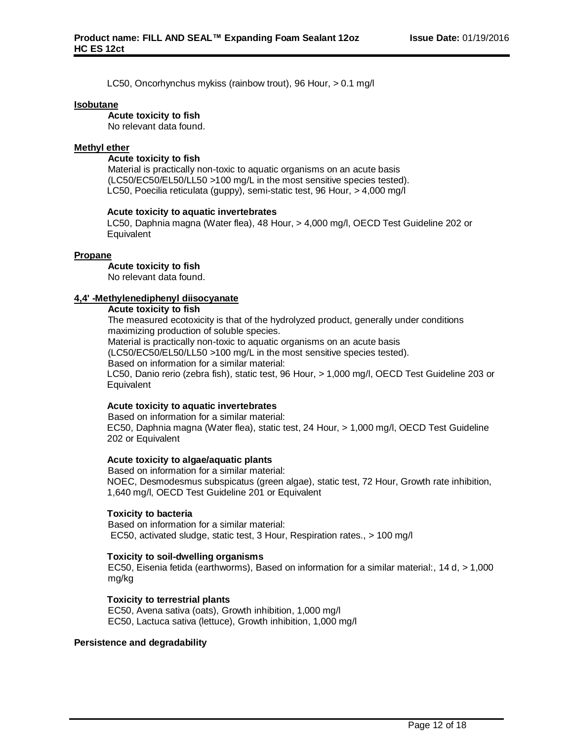LC50, Oncorhynchus mykiss (rainbow trout), 96 Hour, > 0.1 mg/l

#### **Isobutane**

#### **Acute toxicity to fish**

No relevant data found.

#### **Methyl ether**

#### **Acute toxicity to fish**

Material is practically non-toxic to aquatic organisms on an acute basis (LC50/EC50/EL50/LL50 >100 mg/L in the most sensitive species tested). LC50, Poecilia reticulata (guppy), semi-static test, 96 Hour, > 4,000 mg/l

#### **Acute toxicity to aquatic invertebrates**

LC50, Daphnia magna (Water flea), 48 Hour, > 4,000 mg/l, OECD Test Guideline 202 or Equivalent

#### **Propane**

#### **Acute toxicity to fish**

No relevant data found.

### **4,4' -Methylenediphenyl diisocyanate**

#### **Acute toxicity to fish**

The measured ecotoxicity is that of the hydrolyzed product, generally under conditions maximizing production of soluble species.

Material is practically non-toxic to aquatic organisms on an acute basis

(LC50/EC50/EL50/LL50 >100 mg/L in the most sensitive species tested).

Based on information for a similar material:

LC50, Danio rerio (zebra fish), static test, 96 Hour, > 1,000 mg/l, OECD Test Guideline 203 or Equivalent

### **Acute toxicity to aquatic invertebrates**

Based on information for a similar material: EC50, Daphnia magna (Water flea), static test, 24 Hour, > 1,000 mg/l, OECD Test Guideline 202 or Equivalent

### **Acute toxicity to algae/aquatic plants**

Based on information for a similar material: NOEC, Desmodesmus subspicatus (green algae), static test, 72 Hour, Growth rate inhibition, 1,640 mg/l, OECD Test Guideline 201 or Equivalent

#### **Toxicity to bacteria**

Based on information for a similar material: EC50, activated sludge, static test, 3 Hour, Respiration rates., > 100 mg/l

#### **Toxicity to soil-dwelling organisms**

EC50, Eisenia fetida (earthworms), Based on information for a similar material:, 14 d, > 1,000 mg/kg

#### **Toxicity to terrestrial plants**

EC50, Avena sativa (oats), Growth inhibition, 1,000 mg/l EC50, Lactuca sativa (lettuce), Growth inhibition, 1,000 mg/l

### **Persistence and degradability**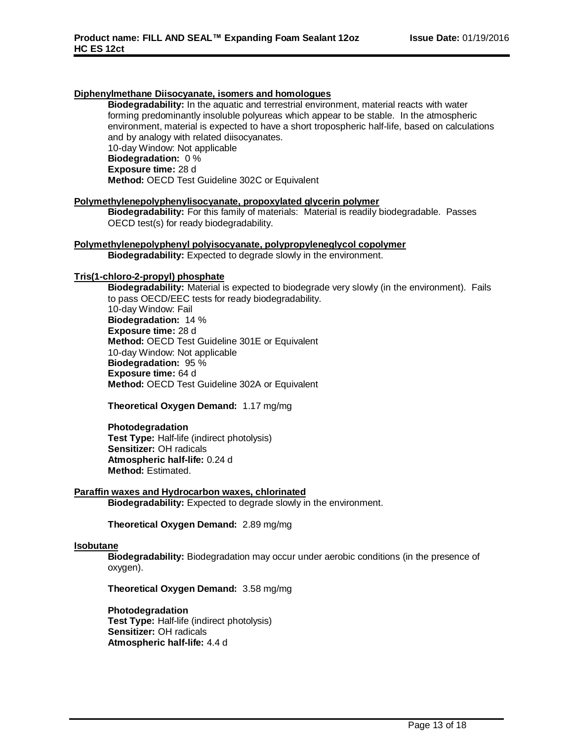### **Diphenylmethane Diisocyanate, isomers and homologues**

**Biodegradability:** In the aquatic and terrestrial environment, material reacts with water forming predominantly insoluble polyureas which appear to be stable. In the atmospheric environment, material is expected to have a short tropospheric half-life, based on calculations and by analogy with related diisocyanates. 10-day Window: Not applicable **Biodegradation:** 0 % **Exposure time:** 28 d **Method:** OECD Test Guideline 302C or Equivalent

#### **Polymethylenepolyphenylisocyanate, propoxylated glycerin polymer**

**Biodegradability:** For this family of materials: Material is readily biodegradable. Passes OECD test(s) for ready biodegradability.

# **Polymethylenepolyphenyl polyisocyanate, polypropyleneglycol copolymer**

**Biodegradability:** Expected to degrade slowly in the environment.

### **Tris(1-chloro-2-propyl) phosphate**

**Biodegradability:** Material is expected to biodegrade very slowly (in the environment). Fails to pass OECD/EEC tests for ready biodegradability. 10-day Window: Fail **Biodegradation:** 14 % **Exposure time:** 28 d **Method:** OECD Test Guideline 301E or Equivalent 10-day Window: Not applicable **Biodegradation:** 95 % **Exposure time:** 64 d **Method:** OECD Test Guideline 302A or Equivalent

**Theoretical Oxygen Demand:** 1.17 mg/mg

**Photodegradation Test Type:** Half-life (indirect photolysis) **Sensitizer:** OH radicals **Atmospheric half-life:** 0.24 d **Method:** Estimated.

#### **Paraffin waxes and Hydrocarbon waxes, chlorinated**

**Biodegradability:** Expected to degrade slowly in the environment.

**Theoretical Oxygen Demand:** 2.89 mg/mg

#### **Isobutane**

**Biodegradability:** Biodegradation may occur under aerobic conditions (in the presence of oxygen).

**Theoretical Oxygen Demand:** 3.58 mg/mg

# **Photodegradation**

**Test Type:** Half-life (indirect photolysis) **Sensitizer:** OH radicals **Atmospheric half-life:** 4.4 d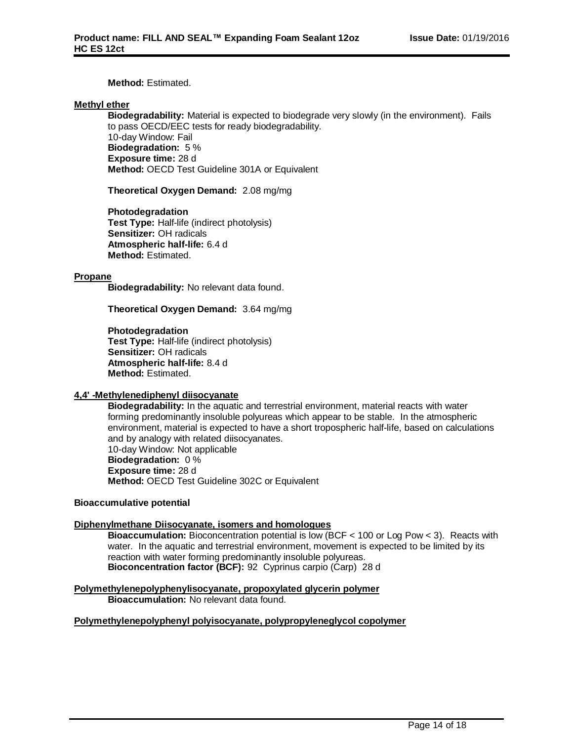### **Method:** Estimated.

### **Methyl ether**

**Biodegradability:** Material is expected to biodegrade very slowly (in the environment). Fails to pass OECD/EEC tests for ready biodegradability. 10-day Window: Fail **Biodegradation:** 5 % **Exposure time:** 28 d **Method:** OECD Test Guideline 301A or Equivalent

**Theoretical Oxygen Demand:** 2.08 mg/mg

**Photodegradation Test Type:** Half-life (indirect photolysis) **Sensitizer:** OH radicals **Atmospheric half-life:** 6.4 d **Method:** Estimated.

#### **Propane**

**Biodegradability:** No relevant data found.

**Theoretical Oxygen Demand:** 3.64 mg/mg

**Photodegradation Test Type:** Half-life (indirect photolysis) **Sensitizer:** OH radicals **Atmospheric half-life:** 8.4 d **Method:** Estimated.

#### **4,4' -Methylenediphenyl diisocyanate**

**Biodegradability:** In the aquatic and terrestrial environment, material reacts with water forming predominantly insoluble polyureas which appear to be stable. In the atmospheric environment, material is expected to have a short tropospheric half-life, based on calculations and by analogy with related diisocyanates. 10-day Window: Not applicable **Biodegradation:** 0 % **Exposure time:** 28 d **Method:** OECD Test Guideline 302C or Equivalent

#### **Bioaccumulative potential**

#### **Diphenylmethane Diisocyanate, isomers and homologues**

**Bioaccumulation:** Bioconcentration potential is low (BCF < 100 or Log Pow < 3). Reacts with water. In the aquatic and terrestrial environment, movement is expected to be limited by its reaction with water forming predominantly insoluble polyureas. **Bioconcentration factor (BCF):** 92 Cyprinus carpio (Carp) 28 d

**Polymethylenepolyphenylisocyanate, propoxylated glycerin polymer Bioaccumulation:** No relevant data found.

#### **Polymethylenepolyphenyl polyisocyanate, polypropyleneglycol copolymer**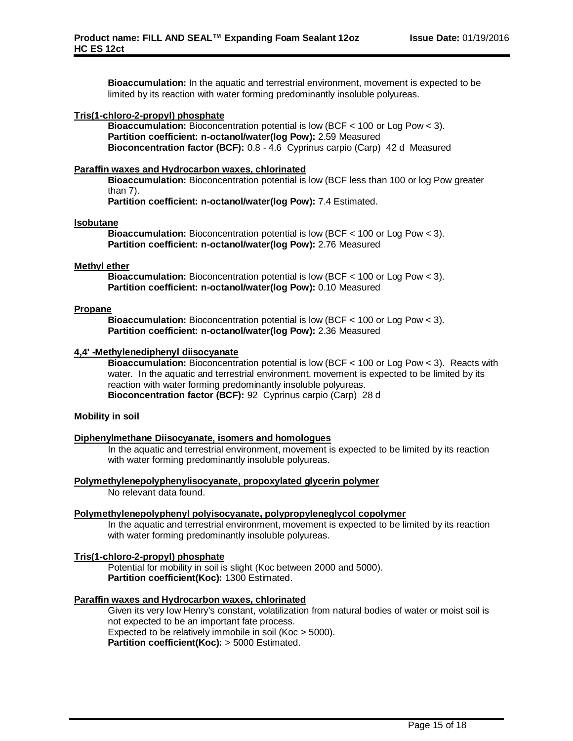**Bioaccumulation:** In the aquatic and terrestrial environment, movement is expected to be limited by its reaction with water forming predominantly insoluble polyureas.

### **Tris(1-chloro-2-propyl) phosphate**

**Bioaccumulation:** Bioconcentration potential is low (BCF < 100 or Log Pow < 3). **Partition coefficient: n-octanol/water(log Pow):** 2.59 Measured **Bioconcentration factor (BCF):** 0.8 - 4.6 Cyprinus carpio (Carp) 42 d Measured

### **Paraffin waxes and Hydrocarbon waxes, chlorinated**

**Bioaccumulation:** Bioconcentration potential is low (BCF less than 100 or log Pow greater than 7).

**Partition coefficient: n-octanol/water(log Pow):** 7.4 Estimated.

#### **Isobutane**

**Bioaccumulation:** Bioconcentration potential is low (BCF < 100 or Log Pow < 3). **Partition coefficient: n-octanol/water(log Pow):** 2.76 Measured

#### **Methyl ether**

**Bioaccumulation:** Bioconcentration potential is low (BCF < 100 or Log Pow < 3). **Partition coefficient: n-octanol/water(log Pow):** 0.10 Measured

#### **Propane**

**Bioaccumulation:** Bioconcentration potential is low (BCF < 100 or Log Pow < 3). **Partition coefficient: n-octanol/water(log Pow):** 2.36 Measured

#### **4,4' -Methylenediphenyl diisocyanate**

**Bioaccumulation:** Bioconcentration potential is low (BCF < 100 or Log Pow < 3). Reacts with water. In the aquatic and terrestrial environment, movement is expected to be limited by its reaction with water forming predominantly insoluble polyureas. **Bioconcentration factor (BCF):** 92 Cyprinus carpio (Carp) 28 d

#### **Mobility in soil**

#### **Diphenylmethane Diisocyanate, isomers and homologues**

In the aquatic and terrestrial environment, movement is expected to be limited by its reaction with water forming predominantly insoluble polyureas.

**Polymethylenepolyphenylisocyanate, propoxylated glycerin polymer**

No relevant data found.

#### **Polymethylenepolyphenyl polyisocyanate, polypropyleneglycol copolymer**

In the aquatic and terrestrial environment, movement is expected to be limited by its reaction with water forming predominantly insoluble polyureas.

### **Tris(1-chloro-2-propyl) phosphate**

Potential for mobility in soil is slight (Koc between 2000 and 5000). **Partition coefficient(Koc):** 1300 Estimated.

#### **Paraffin waxes and Hydrocarbon waxes, chlorinated**

Given its very low Henry's constant, volatilization from natural bodies of water or moist soil is not expected to be an important fate process. Expected to be relatively immobile in soil (Koc > 5000). **Partition coefficient(Koc):** > 5000 Estimated.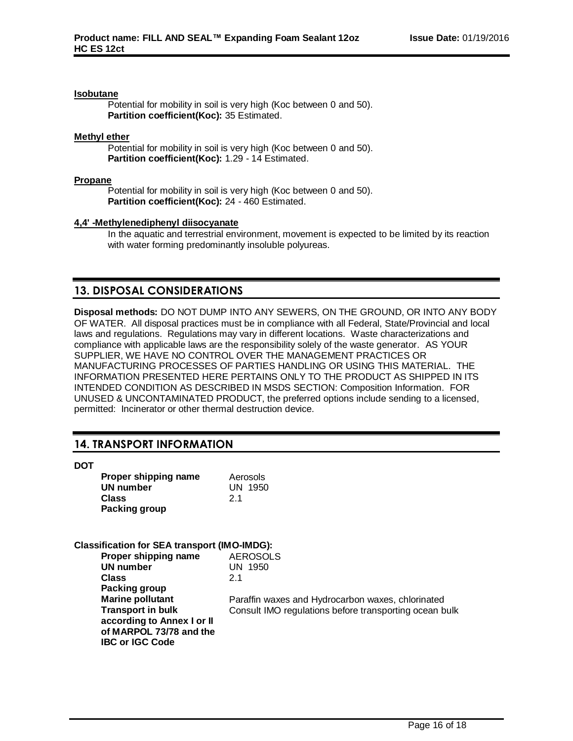#### **Isobutane**

Potential for mobility in soil is very high (Koc between 0 and 50). **Partition coefficient(Koc):** 35 Estimated.

#### **Methyl ether**

Potential for mobility in soil is very high (Koc between 0 and 50). **Partition coefficient(Koc):** 1.29 - 14 Estimated.

#### **Propane**

Potential for mobility in soil is very high (Koc between 0 and 50). **Partition coefficient(Koc):** 24 - 460 Estimated.

#### **4,4' -Methylenediphenyl diisocyanate**

In the aquatic and terrestrial environment, movement is expected to be limited by its reaction with water forming predominantly insoluble polyureas.

# **13. DISPOSAL CONSIDERATIONS**

**Disposal methods:** DO NOT DUMP INTO ANY SEWERS, ON THE GROUND, OR INTO ANY BODY OF WATER. All disposal practices must be in compliance with all Federal, State/Provincial and local laws and regulations. Regulations may vary in different locations. Waste characterizations and compliance with applicable laws are the responsibility solely of the waste generator. AS YOUR SUPPLIER, WE HAVE NO CONTROL OVER THE MANAGEMENT PRACTICES OR MANUFACTURING PROCESSES OF PARTIES HANDLING OR USING THIS MATERIAL. THE INFORMATION PRESENTED HERE PERTAINS ONLY TO THE PRODUCT AS SHIPPED IN ITS INTENDED CONDITION AS DESCRIBED IN MSDS SECTION: Composition Information. FOR UNUSED & UNCONTAMINATED PRODUCT, the preferred options include sending to a licensed, permitted: Incinerator or other thermal destruction device.

# **14. TRANSPORT INFORMATION**

**DOT**

| Proper shipping name<br>Aerosols |                |
|----------------------------------|----------------|
| UN number                        | <b>UN 1950</b> |
| <b>Class</b>                     | 21             |
| <b>Packing group</b>             |                |

# **Classification for SEA transport (IMO-IMDG):**

| <b>AEROSOLS</b>                                        |
|--------------------------------------------------------|
| <b>UN 1950</b>                                         |
| 21                                                     |
|                                                        |
| Paraffin waxes and Hydrocarbon waxes, chlorinated      |
| Consult IMO regulations before transporting ocean bulk |
|                                                        |
|                                                        |
|                                                        |
|                                                        |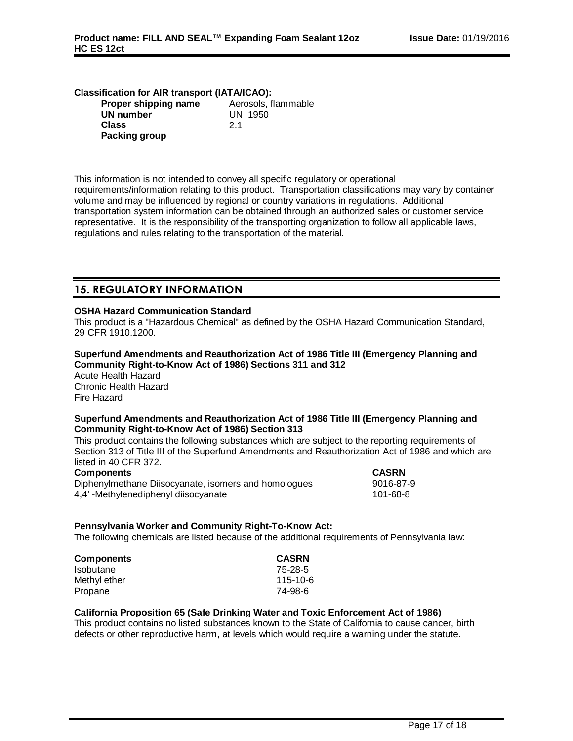| <b>Classification for AIR transport (IATA/ICAO):</b> |                     |  |
|------------------------------------------------------|---------------------|--|
| Proper shipping name                                 | Aerosols, flammable |  |
| <b>UN number</b>                                     | UN 1950             |  |
| <b>Class</b>                                         | 2 <sub>1</sub>      |  |
| <b>Packing group</b>                                 |                     |  |

This information is not intended to convey all specific regulatory or operational requirements/information relating to this product. Transportation classifications may vary by container volume and may be influenced by regional or country variations in regulations. Additional transportation system information can be obtained through an authorized sales or customer service representative. It is the responsibility of the transporting organization to follow all applicable laws, regulations and rules relating to the transportation of the material.

# **15. REGULATORY INFORMATION**

### **OSHA Hazard Communication Standard**

This product is a "Hazardous Chemical" as defined by the OSHA Hazard Communication Standard, 29 CFR 1910.1200.

# **Superfund Amendments and Reauthorization Act of 1986 Title III (Emergency Planning and Community Right-to-Know Act of 1986) Sections 311 and 312**

Acute Health Hazard Chronic Health Hazard Fire Hazard

#### **Superfund Amendments and Reauthorization Act of 1986 Title III (Emergency Planning and Community Right-to-Know Act of 1986) Section 313**

This product contains the following substances which are subject to the reporting requirements of Section 313 of Title III of the Superfund Amendments and Reauthorization Act of 1986 and which are listed in 40 CFR 372.

#### **Components CASRN**

Diphenylmethane Diisocyanate, isomers and homologues 9016-87-9 4,4' -Methylenediphenyl diisocyanate 101-68-8

# **Pennsylvania Worker and Community Right-To-Know Act:**

The following chemicals are listed because of the additional requirements of Pennsylvania law:

| <b>Components</b> | <b>CASRN</b> |
|-------------------|--------------|
| <b>Isobutane</b>  | 75-28-5      |
| Methyl ether      | 115-10-6     |
| Propane           | 74-98-6      |

#### **California Proposition 65 (Safe Drinking Water and Toxic Enforcement Act of 1986)**

This product contains no listed substances known to the State of California to cause cancer, birth defects or other reproductive harm, at levels which would require a warning under the statute.